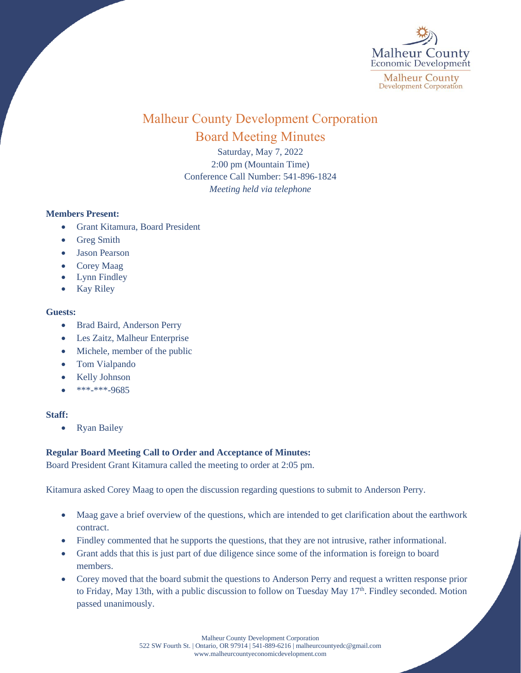

# Malheur County Development Corporation Board Meeting Minutes

Saturday, May 7, 2022 2:00 pm (Mountain Time) Conference Call Number: 541-896-1824 *Meeting held via telephone*

# **Members Present:**

- Grant Kitamura, Board President
- Greg Smith
- Jason Pearson
- Corey Maag
- Lynn Findley
- Kay Riley

### **Guests:**

- Brad Baird, Anderson Perry
- Les Zaitz, Malheur Enterprise
- Michele, member of the public
- Tom Vialpando
- Kelly Johnson
- \*\*\*-\*\*\*-9685

# **Staff:**

• Ryan Bailey

# **Regular Board Meeting Call to Order and Acceptance of Minutes:**

Board President Grant Kitamura called the meeting to order at 2:05 pm.

Kitamura asked Corey Maag to open the discussion regarding questions to submit to Anderson Perry.

- Maag gave a brief overview of the questions, which are intended to get clarification about the earthwork contract.
- Findley commented that he supports the questions, that they are not intrusive, rather informational.
- Grant adds that this is just part of due diligence since some of the information is foreign to board members.
- Corey moved that the board submit the questions to Anderson Perry and request a written response prior to Friday, May 13th, with a public discussion to follow on Tuesday May 17<sup>th</sup>. Findley seconded. Motion passed unanimously.